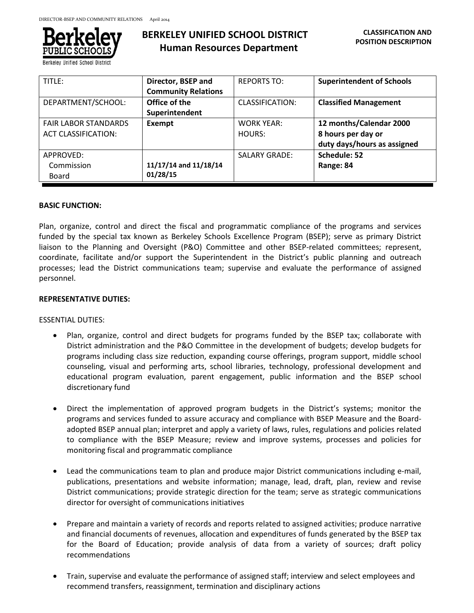

**Berkeley Unified School District** 

# **BERKELEY UNIFIED SCHOOL DISTRICT Human Resources Department**

| TITLE:                      | Director, BSEP and         | <b>REPORTS TO:</b>     | <b>Superintendent of Schools</b> |
|-----------------------------|----------------------------|------------------------|----------------------------------|
|                             | <b>Community Relations</b> |                        |                                  |
| DEPARTMENT/SCHOOL:          | Office of the              | <b>CLASSIFICATION:</b> | <b>Classified Management</b>     |
|                             | Superintendent             |                        |                                  |
| <b>FAIR LABOR STANDARDS</b> | <b>Exempt</b>              | <b>WORK YEAR:</b>      | 12 months/Calendar 2000          |
| <b>ACT CLASSIFICATION:</b>  |                            | HOURS:                 | 8 hours per day or               |
|                             |                            |                        | duty days/hours as assigned      |
| APPROVED:                   |                            | <b>SALARY GRADE:</b>   | Schedule: 52                     |
| Commission                  | 11/17/14 and 11/18/14      |                        | Range: 84                        |
| Board                       | 01/28/15                   |                        |                                  |

## **BASIC FUNCTION:**

Plan, organize, control and direct the fiscal and programmatic compliance of the programs and services funded by the special tax known as Berkeley Schools Excellence Program (BSEP); serve as primary District liaison to the Planning and Oversight (P&O) Committee and other BSEP-related committees; represent, coordinate, facilitate and/or support the Superintendent in the District's public planning and outreach processes; lead the District communications team; supervise and evaluate the performance of assigned personnel.

# **REPRESENTATIVE DUTIES:**

#### ESSENTIAL DUTIES:

- Plan, organize, control and direct budgets for programs funded by the BSEP tax; collaborate with District administration and the P&O Committee in the development of budgets; develop budgets for programs including class size reduction, expanding course offerings, program support, middle school counseling, visual and performing arts, school libraries, technology, professional development and educational program evaluation, parent engagement, public information and the BSEP school discretionary fund
- Direct the implementation of approved program budgets in the District's systems; monitor the programs and services funded to assure accuracy and compliance with BSEP Measure and the Boardadopted BSEP annual plan; interpret and apply a variety of laws, rules, regulations and policies related to compliance with the BSEP Measure; review and improve systems, processes and policies for monitoring fiscal and programmatic compliance
- Lead the communications team to plan and produce major District communications including e-mail, publications, presentations and website information; manage, lead, draft, plan, review and revise District communications; provide strategic direction for the team; serve as strategic communications director for oversight of communications initiatives
- Prepare and maintain a variety of records and reports related to assigned activities; produce narrative and financial documents of revenues, allocation and expenditures of funds generated by the BSEP tax for the Board of Education; provide analysis of data from a variety of sources; draft policy recommendations
- Train, supervise and evaluate the performance of assigned staff; interview and select employees and recommend transfers, reassignment, termination and disciplinary actions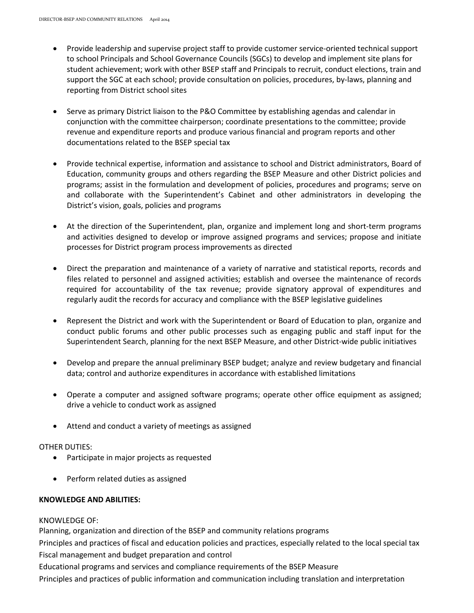- Provide leadership and supervise project staff to provide customer service-oriented technical support to school Principals and School Governance Councils (SGCs) to develop and implement site plans for student achievement; work with other BSEP staff and Principals to recruit, conduct elections, train and support the SGC at each school; provide consultation on policies, procedures, by-laws, planning and reporting from District school sites
- Serve as primary District liaison to the P&O Committee by establishing agendas and calendar in conjunction with the committee chairperson; coordinate presentations to the committee; provide revenue and expenditure reports and produce various financial and program reports and other documentations related to the BSEP special tax
- Provide technical expertise, information and assistance to school and District administrators, Board of Education, community groups and others regarding the BSEP Measure and other District policies and programs; assist in the formulation and development of policies, procedures and programs; serve on and collaborate with the Superintendent's Cabinet and other administrators in developing the District's vision, goals, policies and programs
- At the direction of the Superintendent, plan, organize and implement long and short-term programs and activities designed to develop or improve assigned programs and services; propose and initiate processes for District program process improvements as directed
- Direct the preparation and maintenance of a variety of narrative and statistical reports, records and files related to personnel and assigned activities; establish and oversee the maintenance of records required for accountability of the tax revenue; provide signatory approval of expenditures and regularly audit the records for accuracy and compliance with the BSEP legislative guidelines
- Represent the District and work with the Superintendent or Board of Education to plan, organize and conduct public forums and other public processes such as engaging public and staff input for the Superintendent Search, planning for the next BSEP Measure, and other District-wide public initiatives
- Develop and prepare the annual preliminary BSEP budget; analyze and review budgetary and financial data; control and authorize expenditures in accordance with established limitations
- Operate a computer and assigned software programs; operate other office equipment as assigned; drive a vehicle to conduct work as assigned
- Attend and conduct a variety of meetings as assigned

# OTHER DUTIES:

- Participate in major projects as requested
- Perform related duties as assigned

#### **KNOWLEDGE AND ABILITIES:**

#### KNOWLEDGE OF:

Planning, organization and direction of the BSEP and community relations programs

Principles and practices of fiscal and education policies and practices, especially related to the local special tax Fiscal management and budget preparation and control

Educational programs and services and compliance requirements of the BSEP Measure

Principles and practices of public information and communication including translation and interpretation